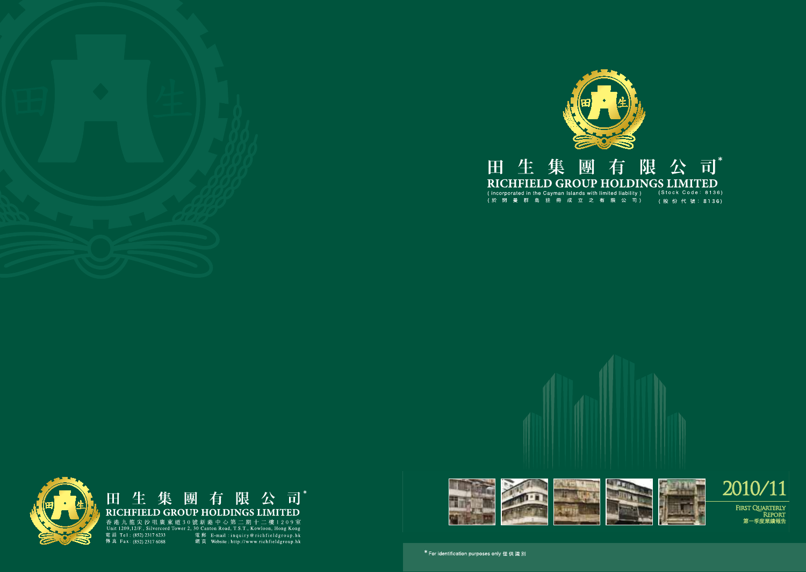

#### 限公司\* 有 田生集 團 RICHFIELD GROUP HOLDINGS LIMITED

 $(Stock Code: 8136)$ (股份代號: 8136)



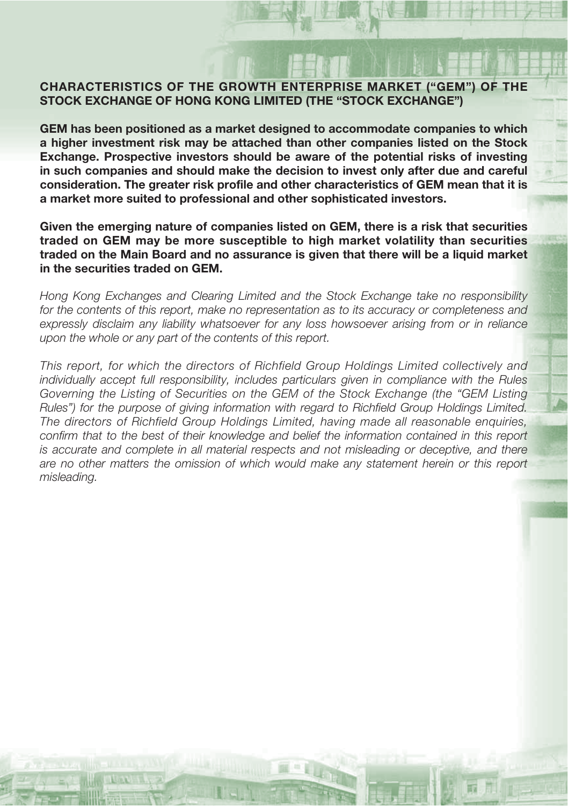### **CHARACTERISTICS OF THE GROWTH ENTERPRISE MARKET ("GEM") OF THE STOCK EXCHANGE OF HONG KONG LIMITED (THE "STOCK EXCHANGE")**

**GEM has been positioned as a market designed to accommodate companies to which a higher investment risk may be attached than other companies listed on the Stock Exchange. Prospective investors should be aware of the potential risks of investing in such companies and should make the decision to invest only after due and careful consideration. The greater risk profile and other characteristics of GEM mean that it is a market more suited to professional and other sophisticated investors.**

**Given the emerging nature of companies listed on GEM, there is a risk that securities traded on GEM may be more susceptible to high market volatility than securities traded on the Main Board and no assurance is given that there will be a liquid market in the securities traded on GEM.**

Hong Kong Exchanges and Clearing Limited and the Stock Exchange take no responsibility for the contents of this report, make no representation as to its accuracy or completeness and expressly disclaim any liability whatsoever for any loss howsoever arising from or in reliance upon the whole or any part of the contents of this report.

This report, for which the directors of Richfield Group Holdings Limited collectively and individually accept full responsibility, includes particulars given in compliance with the Rules Governing the Listing of Securities on the GEM of the Stock Exchange (the "GEM Listing Rules") for the purpose of giving information with regard to Richfield Group Holdings Limited. The directors of Richfield Group Holdings Limited, having made all reasonable enquiries, confirm that to the best of their knowledge and belief the information contained in this report is accurate and complete in all material respects and not misleading or deceptive, and there are no other matters the omission of which would make any statement herein or this report misleading.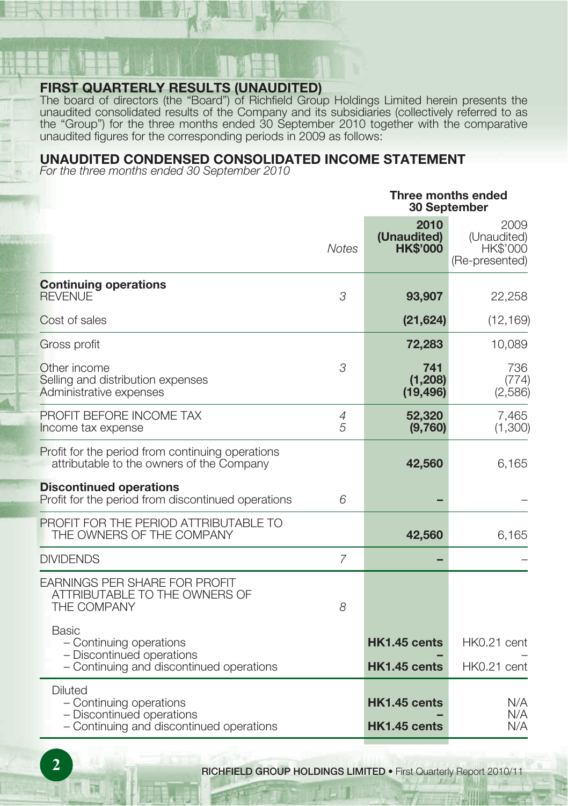# **FIRST QUARTERLY RESULTS (UNAUDITED)**

The board of directors (the "Board") of Richfield Group Holdings Limited herein presents the unaudited consolidated results of the Company and its subsidiaries (collectively referred to as the "Group") for the three months ended 30 September 2010 together with the comparative unaudited figures for the corresponding periods in 2009 as follows:

#### **UNAUDITED CONDENSED CONSOLIDATED INCOME STATEMENT**

For the three months ended 30 September 2010

|                                                                                                                    | Three months ended<br>30 September |                                        |                                                   |
|--------------------------------------------------------------------------------------------------------------------|------------------------------------|----------------------------------------|---------------------------------------------------|
|                                                                                                                    | <b>Notes</b>                       | 2010<br>(Unaudited)<br><b>HK\$'000</b> | 2009<br>(Unaudited)<br>HK\$'000<br>(Re-presented) |
| <b>Continuing operations</b><br><b>REVENUE</b>                                                                     | 3                                  | 93,907                                 | 22,258                                            |
| Cost of sales                                                                                                      |                                    | (21, 624)                              | (12, 169)                                         |
| Gross profit                                                                                                       |                                    | 72,283                                 | 10,089                                            |
| Other income<br>Selling and distribution expenses<br>Administrative expenses                                       | 3                                  | 741<br>(1, 208)<br>(19, 496)           | 736<br>(774)<br>(2,586)                           |
| PROFIT BEFORE INCOME TAX<br>Income tax expense                                                                     | 4<br>$\sqrt{2}$                    | 52,320<br>(9,760)                      | 7,465<br>(1,300)                                  |
| Profit for the period from continuing operations<br>attributable to the owners of the Company                      |                                    | 42,560                                 | 6,165                                             |
| <b>Discontinued operations</b><br>Profit for the period from discontinued operations                               | 6                                  |                                        |                                                   |
| PROFIT FOR THE PERIOD ATTRIBUTABLE TO<br>THE OWNERS OF THE COMPANY                                                 |                                    | 42,560                                 | 6,165                                             |
| <b>DIVIDENDS</b>                                                                                                   | 7                                  |                                        |                                                   |
| <b>EARNINGS PER SHARE FOR PROFIT</b><br>ATTRIBUTABLE TO THE OWNERS OF<br>THE COMPANY                               | 8                                  |                                        |                                                   |
| Basic<br>- Continuing operations<br>- Discontinued operations<br>- Continuing and discontinued operations          |                                    | HK1.45 cents<br>HK1.45 cents           | HK0.21 cent<br>HK0.21 cent                        |
| <b>Diluted</b><br>- Continuing operations<br>- Discontinued operations<br>- Continuing and discontinued operations |                                    | HK1.45 cents<br>HK1.45 cents           | N/A<br>N/A<br>N/A                                 |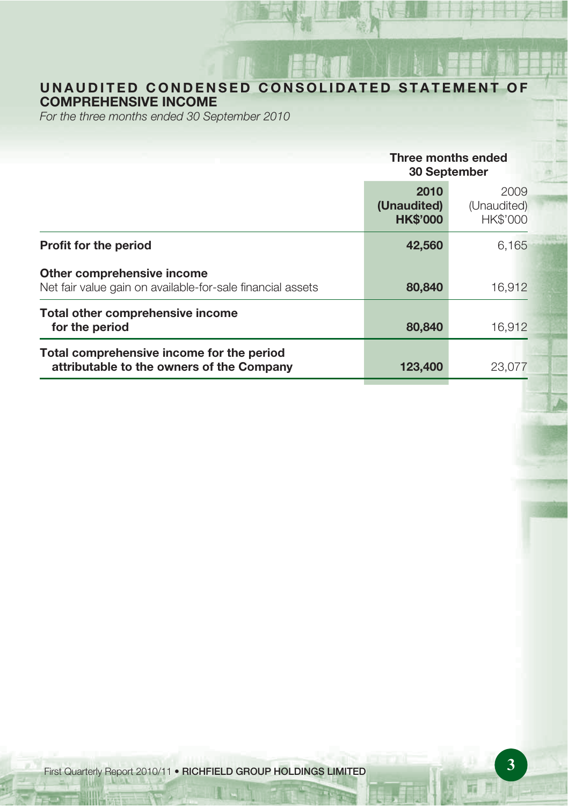# **UNAUDITED CONDENSED CONSOLIDATED STATEMENT OF COMPREHENSIVE INCOME**

For the three months ended 30 September 2010

|                                                                                          | Three months ended<br>30 September     |                                        |
|------------------------------------------------------------------------------------------|----------------------------------------|----------------------------------------|
|                                                                                          | 2010<br>(Unaudited)<br><b>HK\$'000</b> | 2009<br>(Unaudited)<br><b>HK\$'000</b> |
| <b>Profit for the period</b>                                                             | 42,560                                 | 6,165                                  |
| Other comprehensive income<br>Net fair value gain on available-for-sale financial assets | 80,840                                 | 16.912                                 |
| Total other comprehensive income<br>for the period                                       | 80,840                                 | 16.912                                 |
| Total comprehensive income for the period<br>attributable to the owners of the Company   | 123,400                                | 23,077                                 |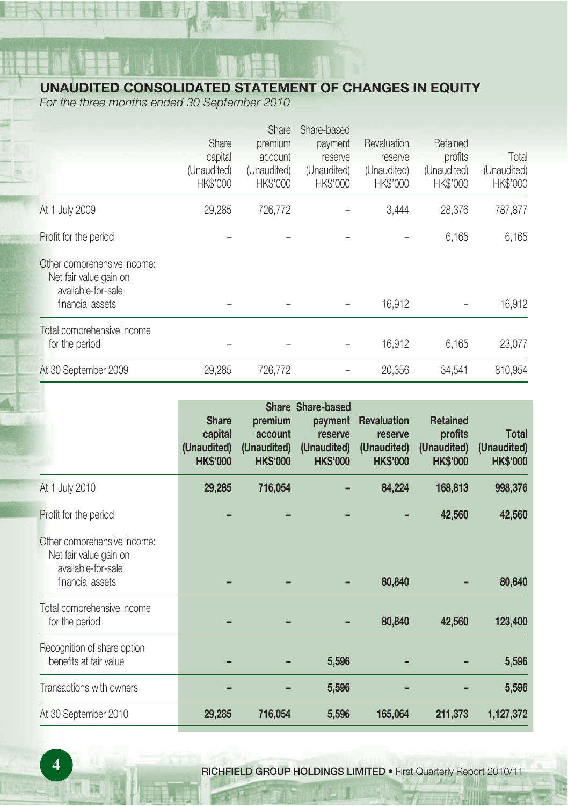# **UNAUDITED CONSOLIDATED STATEMENT OF CHANGES IN EQUITY**

For the three months ended 30 September 2010

|                                                                             |             | <b>Share</b>    | Share-based |                 |                 |             |
|-----------------------------------------------------------------------------|-------------|-----------------|-------------|-----------------|-----------------|-------------|
|                                                                             | Share       | premium         | payment     | Revaluation     | Retained        |             |
|                                                                             | capital     | account         | reserve     | reserve         | profits         | Total       |
|                                                                             | (Unaudited) | (Unaudited)     | (Unaudited) | (Unaudited)     | (Unaudited)     | (Unaudited) |
|                                                                             | HK\$'000    | <b>HK\$'000</b> | HK\$'000    | <b>HK\$'000</b> | <b>HK\$'000</b> | HK\$'000    |
| At 1 July 2009                                                              | 29.285      | 726,772         |             | 3.444           | 28,376          | 787,877     |
| Profit for the period                                                       |             |                 |             |                 | 6,165           | 6,165       |
| Other comprehensive income:<br>Net fair value gain on<br>available-for-sale |             |                 |             |                 |                 |             |
| financial assets                                                            |             |                 |             | 16,912          |                 | 16.912      |
| Total comprehensive income                                                  |             |                 |             |                 |                 |             |
| for the period                                                              |             |                 |             | 16,912          | 6,165           | 23,077      |
| At 30 September 2009                                                        | 29.285      | 726,772         |             | 20,356          | 34.541          | 810.954     |

|                                                                                                 | <b>Share</b><br>capital<br>(Unaudited)<br><b>HK\$'000</b> | premium<br>account<br>(Unaudited)<br><b>HK\$'000</b> | Share Share-based<br>payment<br>reserve<br>(Unaudited)<br><b>HK\$'000</b> | <b>Revaluation</b><br>reserve<br>(Unaudited)<br><b>HK\$'000</b> | <b>Retained</b><br>profits<br>(Unaudited)<br><b>HK\$'000</b> | Total<br>(Unaudited)<br><b>HK\$'000</b> |
|-------------------------------------------------------------------------------------------------|-----------------------------------------------------------|------------------------------------------------------|---------------------------------------------------------------------------|-----------------------------------------------------------------|--------------------------------------------------------------|-----------------------------------------|
| At 1 July 2010                                                                                  | 29,285                                                    | 716,054                                              |                                                                           | 84,224                                                          | 168,813                                                      | 998,376                                 |
| Profit for the period                                                                           |                                                           |                                                      |                                                                           |                                                                 | 42,560                                                       | 42,560                                  |
| Other comprehensive income:<br>Net fair value gain on<br>available-for-sale<br>financial assets |                                                           |                                                      |                                                                           | 80,840                                                          |                                                              | 80,840                                  |
| Total comprehensive income<br>for the period                                                    |                                                           |                                                      |                                                                           | 80,840                                                          | 42,560                                                       | 123,400                                 |
| Recognition of share option<br>benefits at fair value                                           |                                                           |                                                      | 5,596                                                                     |                                                                 |                                                              | 5,596                                   |
| Transactions with owners                                                                        |                                                           |                                                      | 5,596                                                                     |                                                                 |                                                              | 5,596                                   |
| At 30 September 2010                                                                            | 29,285                                                    | 716,054                                              | 5,596                                                                     | 165,064                                                         | 211,373                                                      | 1,127,372                               |

**4 RICHFIELD GROUP HOLDINGS LIMITED •** First Quarterly Report 2010/11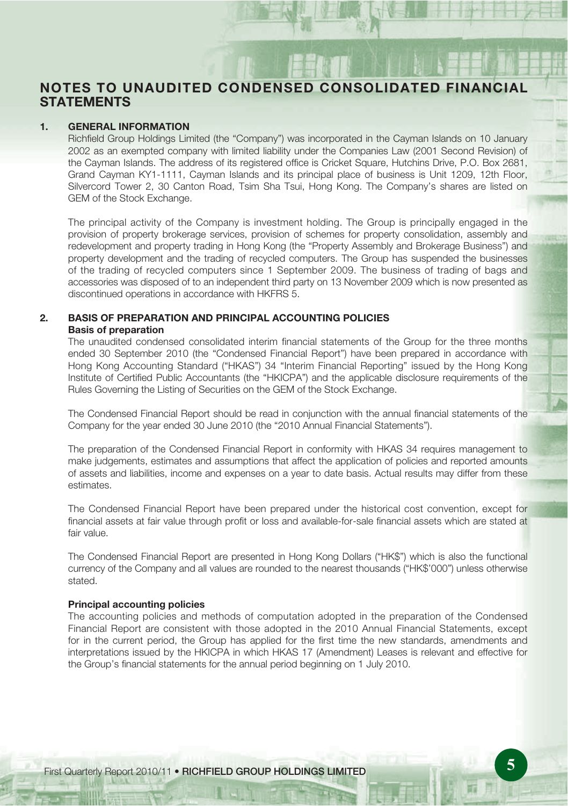# **NOTES TO UNAUDITED CONDENSED CONSOLIDATED FINANCIAL STATEMENTS**

#### **1. GENERAL INFORMATION**

Richfield Group Holdings Limited (the "Company") was incorporated in the Cayman Islands on 10 January 2002 as an exempted company with limited liability under the Companies Law (2001 Second Revision) of the Cayman Islands. The address of its registered office is Cricket Square, Hutchins Drive, P.O. Box 2681, Grand Cayman KY1-1111, Cayman Islands and its principal place of business is Unit 1209, 12th Floor, Silvercord Tower 2, 30 Canton Road, Tsim Sha Tsui, Hong Kong. The Company's shares are listed on GEM of the Stock Exchange.

The principal activity of the Company is investment holding. The Group is principally engaged in the provision of property brokerage services, provision of schemes for property consolidation, assembly and redevelopment and property trading in Hong Kong (the "Property Assembly and Brokerage Business") and property development and the trading of recycled computers. The Group has suspended the businesses of the trading of recycled computers since 1 September 2009. The business of trading of bags and accessories was disposed of to an independent third party on 13 November 2009 which is now presented as discontinued operations in accordance with HKFRS 5.

#### **2. BASIS OF PREPARATION AND PRINCIPAL ACCOUNTING POLICIES Basis of preparation**

The unaudited condensed consolidated interim financial statements of the Group for the three months ended 30 September 2010 (the "Condensed Financial Report") have been prepared in accordance with Hong Kong Accounting Standard ("HKAS") 34 "Interim Financial Reporting" issued by the Hong Kong Institute of Certified Public Accountants (the "HKICPA") and the applicable disclosure requirements of the Rules Governing the Listing of Securities on the GEM of the Stock Exchange.

The Condensed Financial Report should be read in conjunction with the annual financial statements of the Company for the year ended 30 June 2010 (the "2010 Annual Financial Statements").

The preparation of the Condensed Financial Report in conformity with HKAS 34 requires management to make judgements, estimates and assumptions that affect the application of policies and reported amounts of assets and liabilities, income and expenses on a year to date basis. Actual results may differ from these estimates.

The Condensed Financial Report have been prepared under the historical cost convention, except for financial assets at fair value through profit or loss and available-for-sale financial assets which are stated at fair value.

The Condensed Financial Report are presented in Hong Kong Dollars ("HK\$") which is also the functional currency of the Company and all values are rounded to the nearest thousands ("HK\$'000") unless otherwise stated.

#### **Principal accounting policies**

The accounting policies and methods of computation adopted in the preparation of the Condensed Financial Report are consistent with those adopted in the 2010 Annual Financial Statements, except for in the current period, the Group has applied for the first time the new standards, amendments and interpretations issued by the HKICPA in which HKAS 17 (Amendment) Leases is relevant and effective for the Group's financial statements for the annual period beginning on 1 July 2010.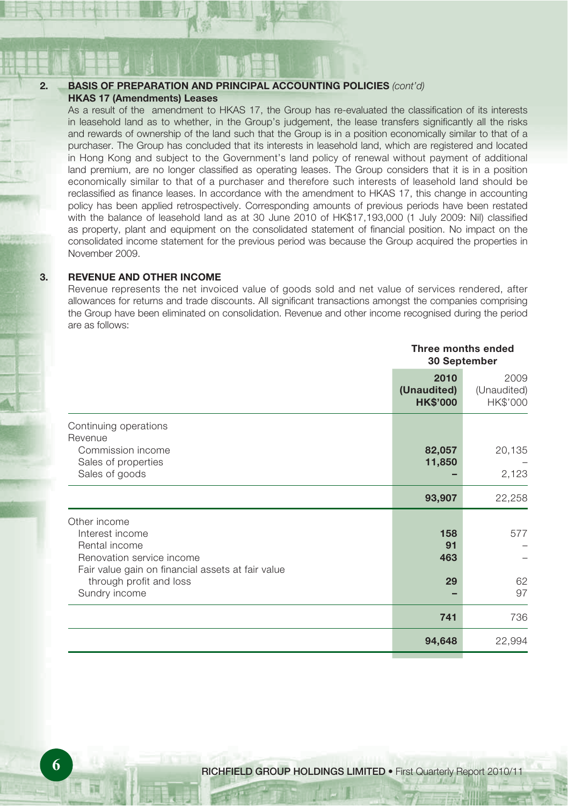#### **2. BASIS OF PREPARATION AND PRINCIPAL ACCOUNTING POLICIES** (cont'd) **HKAS 17 (Amendments) Leases**

As a result of the amendment to HKAS 17, the Group has re-evaluated the classification of its interests in leasehold land as to whether, in the Group's judgement, the lease transfers significantly all the risks and rewards of ownership of the land such that the Group is in a position economically similar to that of a purchaser. The Group has concluded that its interests in leasehold land, which are registered and located in Hong Kong and subject to the Government's land policy of renewal without payment of additional land premium, are no longer classified as operating leases. The Group considers that it is in a position economically similar to that of a purchaser and therefore such interests of leasehold land should be reclassified as finance leases. In accordance with the amendment to HKAS 17, this change in accounting policy has been applied retrospectively. Corresponding amounts of previous periods have been restated with the balance of leasehold land as at 30 June 2010 of HK\$17,193,000 (1 July 2009: Nil) classified as property, plant and equipment on the consolidated statement of financial position. No impact on the consolidated income statement for the previous period was because the Group acquired the properties in November 2009.

#### **3. REVENUE AND OTHER INCOME**

Revenue represents the net invoiced value of goods sold and net value of services rendered, after allowances for returns and trade discounts. All significant transactions amongst the companies comprising the Group have been eliminated on consolidation. Revenue and other income recognised during the period are as follows:

|                                                                                                                                                                                | Three months ended<br>30 September     |                                 |
|--------------------------------------------------------------------------------------------------------------------------------------------------------------------------------|----------------------------------------|---------------------------------|
|                                                                                                                                                                                | 2010<br>(Unaudited)<br><b>HK\$'000</b> | 2009<br>(Unaudited)<br>HK\$'000 |
| Continuing operations<br>Revenue<br>Commission income<br>Sales of properties<br>Sales of goods                                                                                 | 82,057<br>11,850                       | 20,135<br>2,123                 |
|                                                                                                                                                                                | 93,907                                 | 22,258                          |
| Other income<br>Interest income<br>Rental income<br>Renovation service income<br>Fair value gain on financial assets at fair value<br>through profit and loss<br>Sundry income | 158<br>91<br>463<br>29                 | 577<br>62<br>97                 |
|                                                                                                                                                                                | 741                                    | 736                             |
|                                                                                                                                                                                | 94,648                                 | 22,994                          |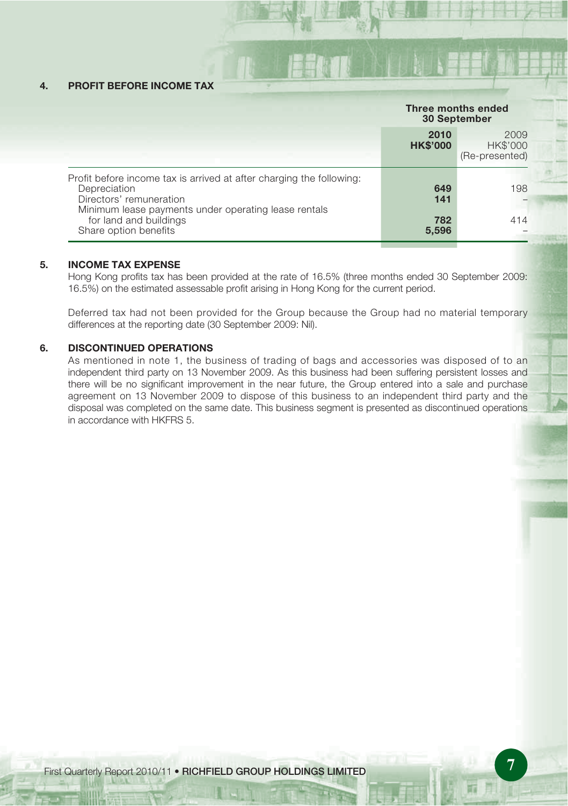#### **4. PROFIT BEFORE INCOME TAX**

|                                                                                                                                                                         | Three months ended<br>30 September |                                           |
|-------------------------------------------------------------------------------------------------------------------------------------------------------------------------|------------------------------------|-------------------------------------------|
|                                                                                                                                                                         | 2010<br><b>HK\$'000</b>            | 2009<br><b>HK\$'000</b><br>(Re-presented) |
| Profit before income tax is arrived at after charging the following:<br>Depreciation<br>Directors' remuneration<br>Minimum lease payments under operating lease rentals | 649<br>141                         | 198                                       |
| for land and buildings<br>Share option benefits                                                                                                                         | 782<br>5,596                       | 414                                       |

#### **5. INCOME TAX EXPENSE**

Hong Kong profits tax has been provided at the rate of 16.5% (three months ended 30 September 2009: 16.5%) on the estimated assessable profit arising in Hong Kong for the current period.

Deferred tax had not been provided for the Group because the Group had no material temporary differences at the reporting date (30 September 2009: Nil).

#### **6. DISCONTINUED OPERATIONS**

As mentioned in note 1, the business of trading of bags and accessories was disposed of to an independent third party on 13 November 2009. As this business had been suffering persistent losses and there will be no significant improvement in the near future, the Group entered into a sale and purchase agreement on 13 November 2009 to dispose of this business to an independent third party and the disposal was completed on the same date. This business segment is presented as discontinued operations in accordance with HKFRS 5.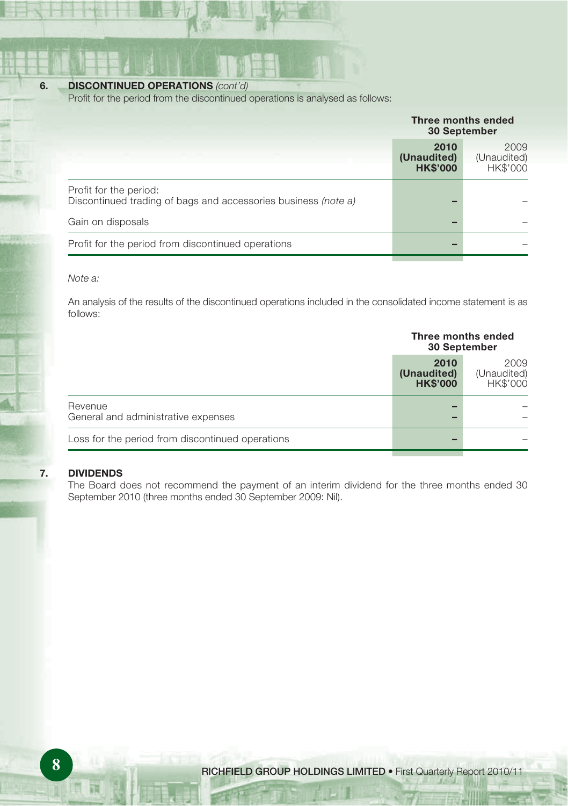#### **6. DISCONTINUED OPERATIONS (cont'd)**

Profit for the period from the discontinued operations is analysed as follows:

| Three months ended<br>30 September     |                                        |
|----------------------------------------|----------------------------------------|
| 2010<br>(Unaudited)<br><b>HK\$'000</b> | 2009<br>(Unaudited)<br><b>HK\$'000</b> |
|                                        |                                        |
|                                        |                                        |
|                                        |                                        |
|                                        |                                        |

#### Note a:

An analysis of the results of the discontinued operations included in the consolidated income statement is as follows:

|                                                  | Three months ended<br>30 September     |                                 |
|--------------------------------------------------|----------------------------------------|---------------------------------|
|                                                  | 2010<br>(Unaudited)<br><b>HK\$'000</b> | 2009<br>(Unaudited)<br>HK\$'000 |
| Revenue<br>General and administrative expenses   |                                        |                                 |
| Loss for the period from discontinued operations |                                        |                                 |

#### **7. DIVIDENDS**

The Board does not recommend the payment of an interim dividend for the three months ended 30 September 2010 (three months ended 30 September 2009: Nil).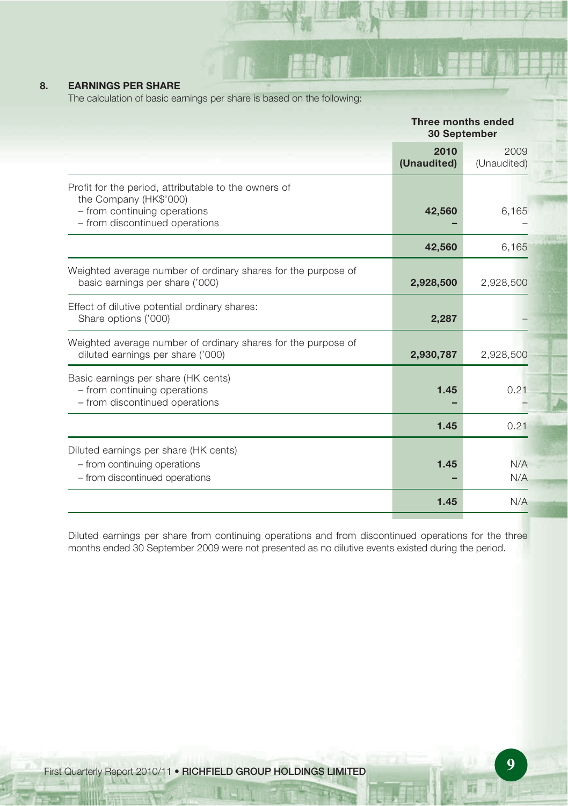### **8. EARNINGS PER SHARE**

The calculation of basic earnings per share is based on the following:

|                                                                                                                                                  | Three months ended<br>30 September |                     |
|--------------------------------------------------------------------------------------------------------------------------------------------------|------------------------------------|---------------------|
|                                                                                                                                                  | 2010<br>(Unaudited)                | 2009<br>(Unaudited) |
| Profit for the period, attributable to the owners of<br>the Company (HK\$'000)<br>- from continuing operations<br>- from discontinued operations | 42,560                             | 6,165               |
|                                                                                                                                                  | 42,560                             | 6,165               |
| Weighted average number of ordinary shares for the purpose of<br>basic earnings per share ('000)                                                 | 2,928,500                          | 2,928,500           |
| Effect of dilutive potential ordinary shares:<br>Share options ('000)                                                                            | 2,287                              |                     |
| Weighted average number of ordinary shares for the purpose of<br>diluted earnings per share ('000)                                               | 2,930,787                          | 2,928,500           |
| Basic earnings per share (HK cents)<br>- from continuing operations<br>- from discontinued operations                                            | 1.45                               | 0.21                |
|                                                                                                                                                  | 1.45                               | 0.21                |
| Diluted earnings per share (HK cents)<br>- from continuing operations<br>- from discontinued operations                                          | 1.45                               | N/A<br>N/A          |
|                                                                                                                                                  | 1.45                               | N/A                 |

Diluted earnings per share from continuing operations and from discontinued operations for the three months ended 30 September 2009 were not presented as no dilutive events existed during the period.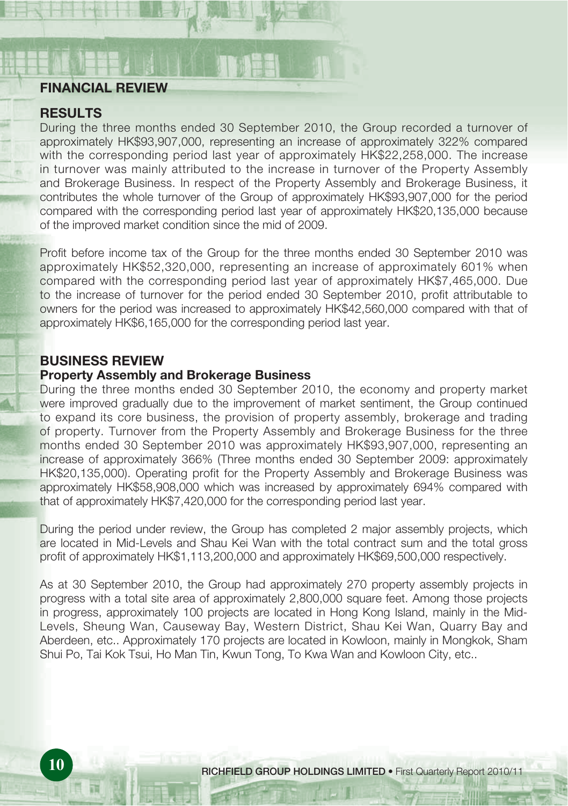### **FINANCIAL REVIEW**

### **RESULTS**

During the three months ended 30 September 2010, the Group recorded a turnover of approximately HK\$93,907,000, representing an increase of approximately 322% compared with the corresponding period last year of approximately HK\$22,258,000. The increase in turnover was mainly attributed to the increase in turnover of the Property Assembly and Brokerage Business. In respect of the Property Assembly and Brokerage Business, it contributes the whole turnover of the Group of approximately HK\$93,907,000 for the period compared with the corresponding period last year of approximately HK\$20,135,000 because of the improved market condition since the mid of 2009.

Profit before income tax of the Group for the three months ended 30 September 2010 was approximately HK\$52,320,000, representing an increase of approximately 601% when compared with the corresponding period last year of approximately HK\$7,465,000. Due to the increase of turnover for the period ended 30 September 2010, profit attributable to owners for the period was increased to approximately HK\$42,560,000 compared with that of approximately HK\$6,165,000 for the corresponding period last year.

# **BUSINESS REVIEW**

#### **Property Assembly and Brokerage Business**

During the three months ended 30 September 2010, the economy and property market were improved gradually due to the improvement of market sentiment, the Group continued to expand its core business, the provision of property assembly, brokerage and trading of property. Turnover from the Property Assembly and Brokerage Business for the three months ended 30 September 2010 was approximately HK\$93,907,000, representing an increase of approximately 366% (Three months ended 30 September 2009: approximately HK\$20,135,000). Operating profit for the Property Assembly and Brokerage Business was approximately HK\$58,908,000 which was increased by approximately 694% compared with that of approximately HK\$7,420,000 for the corresponding period last year.

During the period under review, the Group has completed 2 major assembly projects, which are located in Mid-Levels and Shau Kei Wan with the total contract sum and the total gross profit of approximately HK\$1,113,200,000 and approximately HK\$69,500,000 respectively.

As at 30 September 2010, the Group had approximately 270 property assembly projects in progress with a total site area of approximately 2,800,000 square feet. Among those projects in progress, approximately 100 projects are located in Hong Kong Island, mainly in the Mid-Levels, Sheung Wan, Causeway Bay, Western District, Shau Kei Wan, Quarry Bay and Aberdeen, etc.. Approximately 170 projects are located in Kowloon, mainly in Mongkok, Sham Shui Po, Tai Kok Tsui, Ho Man Tin, Kwun Tong, To Kwa Wan and Kowloon City, etc..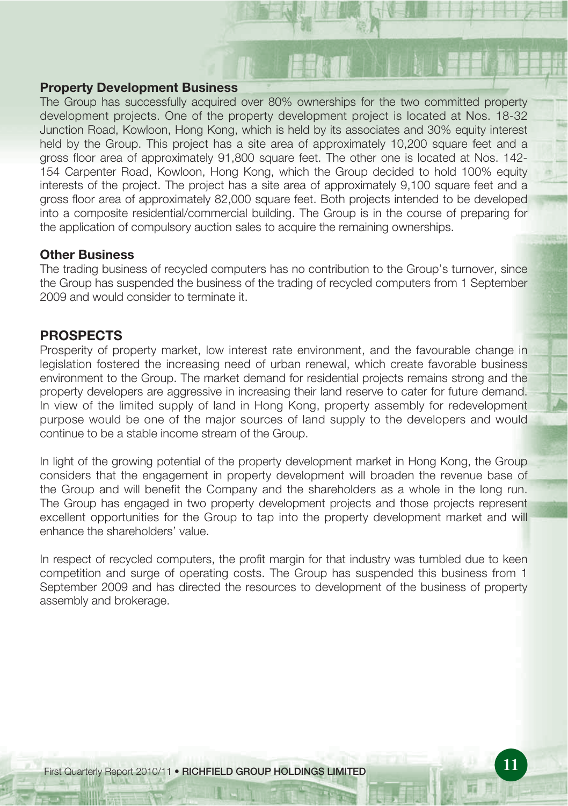#### **Property Development Business**

The Group has successfully acquired over 80% ownerships for the two committed property development projects. One of the property development project is located at Nos. 18-32 Junction Road, Kowloon, Hong Kong, which is held by its associates and 30% equity interest held by the Group. This project has a site area of approximately 10,200 square feet and a gross floor area of approximately 91,800 square feet. The other one is located at Nos. 142- 154 Carpenter Road, Kowloon, Hong Kong, which the Group decided to hold 100% equity interests of the project. The project has a site area of approximately 9,100 square feet and a gross floor area of approximately 82,000 square feet. Both projects intended to be developed into a composite residential/commercial building. The Group is in the course of preparing for the application of compulsory auction sales to acquire the remaining ownerships.

#### **Other Business**

The trading business of recycled computers has no contribution to the Group's turnover, since the Group has suspended the business of the trading of recycled computers from 1 September 2009 and would consider to terminate it.

### **PROSPECTS**

Prosperity of property market, low interest rate environment, and the favourable change in legislation fostered the increasing need of urban renewal, which create favorable business environment to the Group. The market demand for residential projects remains strong and the property developers are aggressive in increasing their land reserve to cater for future demand. In view of the limited supply of land in Hong Kong, property assembly for redevelopment purpose would be one of the major sources of land supply to the developers and would continue to be a stable income stream of the Group.

In light of the growing potential of the property development market in Hong Kong, the Group considers that the engagement in property development will broaden the revenue base of the Group and will benefit the Company and the shareholders as a whole in the long run. The Group has engaged in two property development projects and those projects represent excellent opportunities for the Group to tap into the property development market and will enhance the shareholders' value.

In respect of recycled computers, the profit margin for that industry was tumbled due to keen competition and surge of operating costs. The Group has suspended this business from 1 September 2009 and has directed the resources to development of the business of property assembly and brokerage.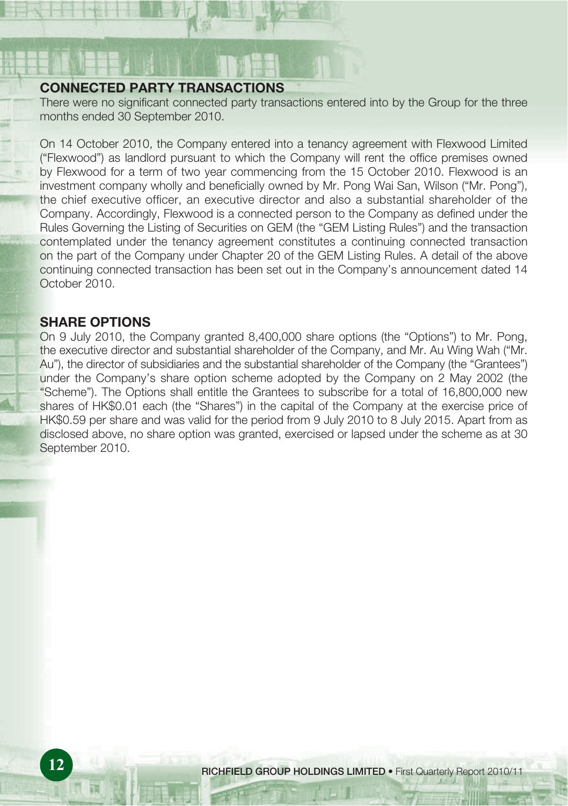### **CONNECTED PARTY TRANSACTIONS**

There were no significant connected party transactions entered into by the Group for the three months ended 30 September 2010.

On 14 October 2010, the Company entered into a tenancy agreement with Flexwood Limited ("Flexwood") as landlord pursuant to which the Company will rent the office premises owned by Flexwood for a term of two year commencing from the 15 October 2010. Flexwood is an investment company wholly and beneficially owned by Mr. Pong Wai San, Wilson ("Mr. Pong"), the chief executive officer, an executive director and also a substantial shareholder of the Company. Accordingly, Flexwood is a connected person to the Company as defined under the Rules Governing the Listing of Securities on GEM (the "GEM Listing Rules") and the transaction contemplated under the tenancy agreement constitutes a continuing connected transaction on the part of the Company under Chapter 20 of the GEM Listing Rules. A detail of the above continuing connected transaction has been set out in the Company's announcement dated 14 October 2010.

### **SHARE OPTIONS**

On 9 July 2010, the Company granted 8,400,000 share options (the "Options") to Mr. Pong, the executive director and substantial shareholder of the Company, and Mr. Au Wing Wah ("Mr. Au"), the director of subsidiaries and the substantial shareholder of the Company (the "Grantees") under the Company's share option scheme adopted by the Company on 2 May 2002 (the "Scheme"). The Options shall entitle the Grantees to subscribe for a total of 16,800,000 new shares of HK\$0.01 each (the "Shares") in the capital of the Company at the exercise price of HK\$0.59 per share and was valid for the period from 9 July 2010 to 8 July 2015. Apart from as disclosed above, no share option was granted, exercised or lapsed under the scheme as at 30 September 2010.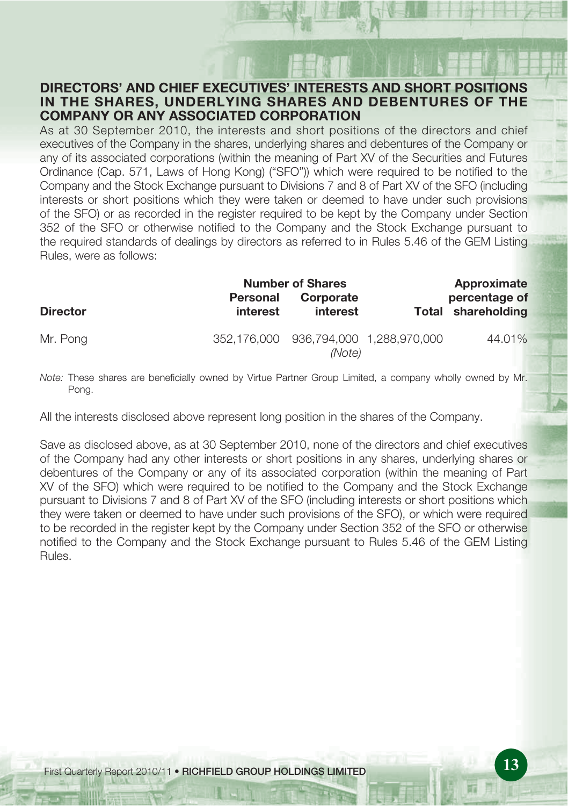### **DIRECTORS' AND CHIEF EXECUTIVES' INTERESTS AND SHORT POSITIONS IN THE SHARES, UNDERLYING SHARES AND DEBENTURES OF THE COMPANY OR ANY ASSOCIATED CORPORATION**

As at 30 September 2010, the interests and short positions of the directors and chief executives of the Company in the shares, underlying shares and debentures of the Company or any of its associated corporations (within the meaning of Part XV of the Securities and Futures Ordinance (Cap. 571, Laws of Hong Kong) ("SFO")) which were required to be notified to the Company and the Stock Exchange pursuant to Divisions 7 and 8 of Part XV of the SFO (including interests or short positions which they were taken or deemed to have under such provisions of the SFO) or as recorded in the register required to be kept by the Company under Section 352 of the SFO or otherwise notified to the Company and the Stock Exchange pursuant to the required standards of dealings by directors as referred to in Rules 5.46 of the GEM Listing Rules, were as follows:

|                 |             | <b>Number of Shares</b> |                           | Approximate        |
|-----------------|-------------|-------------------------|---------------------------|--------------------|
|                 | Personal    | Corporate               |                           | percentage of      |
| <b>Director</b> | interest    | interest                |                           | Total shareholding |
| Mr. Pong        | 352.176.000 | (Note)                  | 936,794,000 1,288,970,000 | 44.01%             |

Note: These shares are beneficially owned by Virtue Partner Group Limited, a company wholly owned by Mr. Pong.

All the interests disclosed above represent long position in the shares of the Company.

Save as disclosed above, as at 30 September 2010, none of the directors and chief executives of the Company had any other interests or short positions in any shares, underlying shares or debentures of the Company or any of its associated corporation (within the meaning of Part XV of the SFO) which were required to be notified to the Company and the Stock Exchange pursuant to Divisions 7 and 8 of Part XV of the SFO (including interests or short positions which they were taken or deemed to have under such provisions of the SFO), or which were required to be recorded in the register kept by the Company under Section 352 of the SFO or otherwise notified to the Company and the Stock Exchange pursuant to Rules 5.46 of the GEM Listing Rules.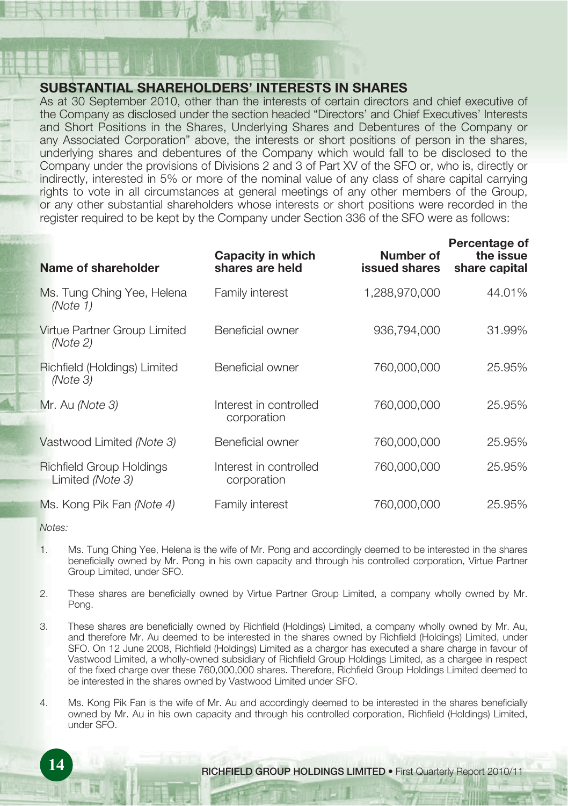### **SUBSTANTIAL SHAREHOLDERS' INTERESTS IN SHARES**

As at 30 September 2010, other than the interests of certain directors and chief executive of the Company as disclosed under the section headed "Directors' and Chief Executives' Interests and Short Positions in the Shares, Underlying Shares and Debentures of the Company or any Associated Corporation" above, the interests or short positions of person in the shares, underlying shares and debentures of the Company which would fall to be disclosed to the Company under the provisions of Divisions 2 and 3 of Part XV of the SFO or, who is, directly or indirectly, interested in 5% or more of the nominal value of any class of share capital carrying rights to vote in all circumstances at general meetings of any other members of the Group, or any other substantial shareholders whose interests or short positions were recorded in the register required to be kept by the Company under Section 336 of the SFO were as follows:

| Name of shareholder                                 | Capacity in which<br>shares are held  | Number of<br><b>issued shares</b> | Percentage of<br>the issue<br>share capital |
|-----------------------------------------------------|---------------------------------------|-----------------------------------|---------------------------------------------|
| Ms. Tung Ching Yee, Helena<br>(Note 1)              | Family interest                       | 1.288.970.000                     | 44.01%                                      |
| Virtue Partner Group Limited<br>(Note 2)            | Beneficial owner                      | 936,794,000                       | 31.99%                                      |
| Richfield (Holdings) Limited<br>(Note 3)            | Beneficial owner                      | 760,000,000                       | 25.95%                                      |
| Mr. Au (Note 3)                                     | Interest in controlled<br>corporation | 760,000,000                       | 25.95%                                      |
| Vastwood Limited (Note 3)                           | Beneficial owner                      | 760,000,000                       | 25.95%                                      |
| <b>Richfield Group Holdings</b><br>Limited (Note 3) | Interest in controlled<br>corporation | 760,000,000                       | 25.95%                                      |
| Ms. Kong Pik Fan <i>(Note 4)</i>                    | Family interest                       | 760.000.000                       | 25.95%                                      |

Notes:

- 1. Ms. Tung Ching Yee, Helena is the wife of Mr. Pong and accordingly deemed to be interested in the shares beneficially owned by Mr. Pong in his own capacity and through his controlled corporation, Virtue Partner Group Limited, under SFO.
- 2. These shares are beneficially owned by Virtue Partner Group Limited, a company wholly owned by Mr. Pong.
- 3. These shares are beneficially owned by Richfield (Holdings) Limited, a company wholly owned by Mr. Au, and therefore Mr. Au deemed to be interested in the shares owned by Richfield (Holdings) Limited, under SFO. On 12 June 2008, Richfield (Holdings) Limited as a chargor has executed a share charge in favour of Vastwood Limited, a wholly-owned subsidiary of Richfield Group Holdings Limited, as a chargee in respect of the fixed charge over these 760,000,000 shares. Therefore, Richfield Group Holdings Limited deemed to be interested in the shares owned by Vastwood Limited under SFO.
- 4. Ms. Kong Pik Fan is the wife of Mr. Au and accordingly deemed to be interested in the shares beneficially owned by Mr. Au in his own capacity and through his controlled corporation, Richfield (Holdings) Limited, under SFO.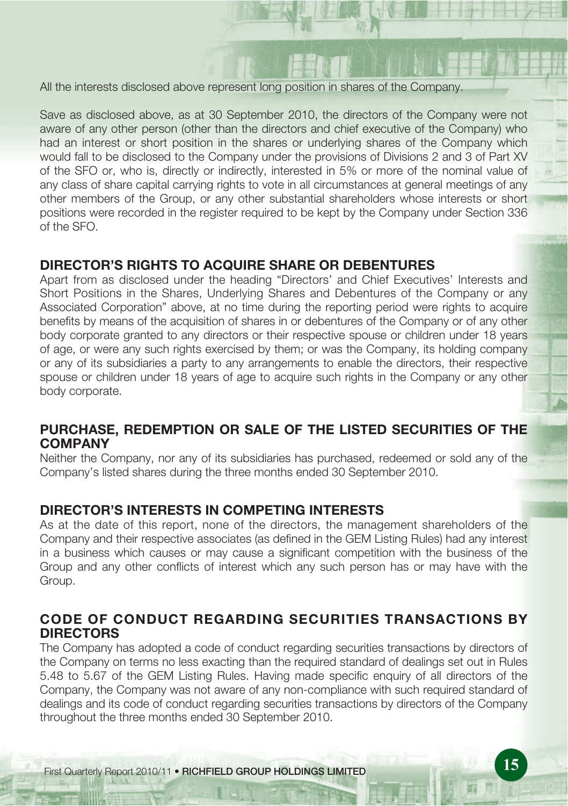All the interests disclosed above represent long position in shares of the Company.

Save as disclosed above, as at 30 September 2010, the directors of the Company were not aware of any other person (other than the directors and chief executive of the Company) who had an interest or short position in the shares or underlying shares of the Company which would fall to be disclosed to the Company under the provisions of Divisions 2 and 3 of Part XV of the SFO or, who is, directly or indirectly, interested in 5% or more of the nominal value of any class of share capital carrying rights to vote in all circumstances at general meetings of any other members of the Group, or any other substantial shareholders whose interests or short positions were recorded in the register required to be kept by the Company under Section 336 of the SFO.

# **DIRECTOR'S RIGHTS TO ACQUIRE SHARE OR DEBENTURES**

Apart from as disclosed under the heading "Directors' and Chief Executives' Interests and Short Positions in the Shares, Underlying Shares and Debentures of the Company or any Associated Corporation" above, at no time during the reporting period were rights to acquire benefits by means of the acquisition of shares in or debentures of the Company or of any other body corporate granted to any directors or their respective spouse or children under 18 years of age, or were any such rights exercised by them; or was the Company, its holding company or any of its subsidiaries a party to any arrangements to enable the directors, their respective spouse or children under 18 years of age to acquire such rights in the Company or any other body corporate.

# **PURCHASE, REDEMPTION OR SALE OF THE LISTED SECURITIES OF THE COMPANY**

Neither the Company, nor any of its subsidiaries has purchased, redeemed or sold any of the Company's listed shares during the three months ended 30 September 2010.

# **DIRECTOR'S INTERESTS IN COMPETING INTERESTS**

As at the date of this report, none of the directors, the management shareholders of the Company and their respective associates (as defined in the GEM Listing Rules) had any interest in a business which causes or may cause a significant competition with the business of the Group and any other conflicts of interest which any such person has or may have with the Group.

# **CODE OF CONDUCT REGARDING SECURITIES TRANSACTIONS BY DIRECTORS**

The Company has adopted a code of conduct regarding securities transactions by directors of the Company on terms no less exacting than the required standard of dealings set out in Rules 5.48 to 5.67 of the GEM Listing Rules. Having made specific enquiry of all directors of the Company, the Company was not aware of any non-compliance with such required standard of dealings and its code of conduct regarding securities transactions by directors of the Company throughout the three months ended 30 September 2010.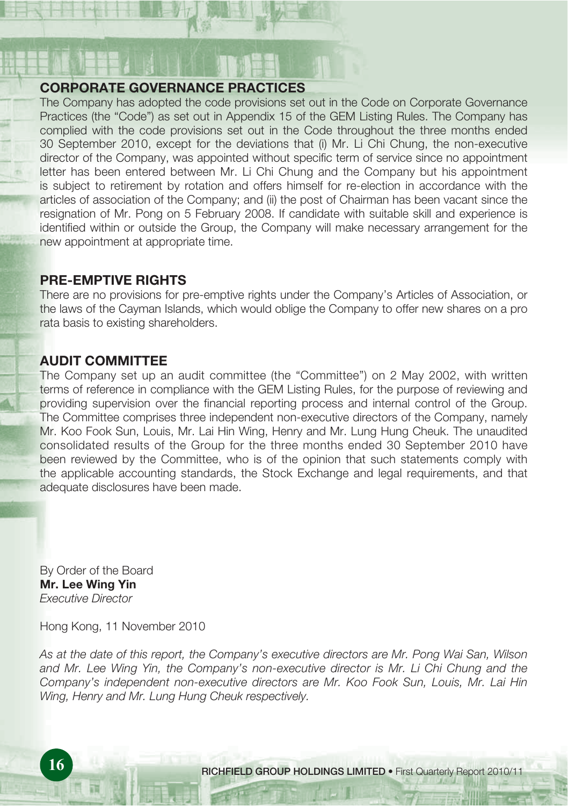### **CORPORATE GOVERNANCE PRACTICES**

The Company has adopted the code provisions set out in the Code on Corporate Governance Practices (the "Code") as set out in Appendix 15 of the GEM Listing Rules. The Company has complied with the code provisions set out in the Code throughout the three months ended 30 September 2010, except for the deviations that (i) Mr. Li Chi Chung, the non-executive director of the Company, was appointed without specific term of service since no appointment letter has been entered between Mr. Li Chi Chung and the Company but his appointment is subject to retirement by rotation and offers himself for re-election in accordance with the articles of association of the Company; and (ii) the post of Chairman has been vacant since the resignation of Mr. Pong on 5 February 2008. If candidate with suitable skill and experience is identified within or outside the Group, the Company will make necessary arrangement for the new appointment at appropriate time.

# **PRE-EMPTIVE RIGHTS**

There are no provisions for pre-emptive rights under the Company's Articles of Association, or the laws of the Cayman Islands, which would oblige the Company to offer new shares on a pro rata basis to existing shareholders.

# **AUDIT COMMITTEE**

The Company set up an audit committee (the "Committee") on 2 May 2002, with written terms of reference in compliance with the GEM Listing Rules, for the purpose of reviewing and providing supervision over the financial reporting process and internal control of the Group. The Committee comprises three independent non-executive directors of the Company, namely Mr. Koo Fook Sun, Louis, Mr. Lai Hin Wing, Henry and Mr. Lung Hung Cheuk. The unaudited consolidated results of the Group for the three months ended 30 September 2010 have been reviewed by the Committee, who is of the opinion that such statements comply with the applicable accounting standards, the Stock Exchange and legal requirements, and that adequate disclosures have been made.

By Order of the Board **Mr. Lee Wing Yin** Executive Director

Hong Kong, 11 November 2010

As at the date of this report, the Company's executive directors are Mr. Pong Wai San, Wilson and Mr. Lee Wing Yin, the Company's non-executive director is Mr. Li Chi Chung and the Company's independent non-executive directors are Mr. Koo Fook Sun, Louis, Mr. Lai Hin Wing, Henry and Mr. Lung Hung Cheuk respectively.